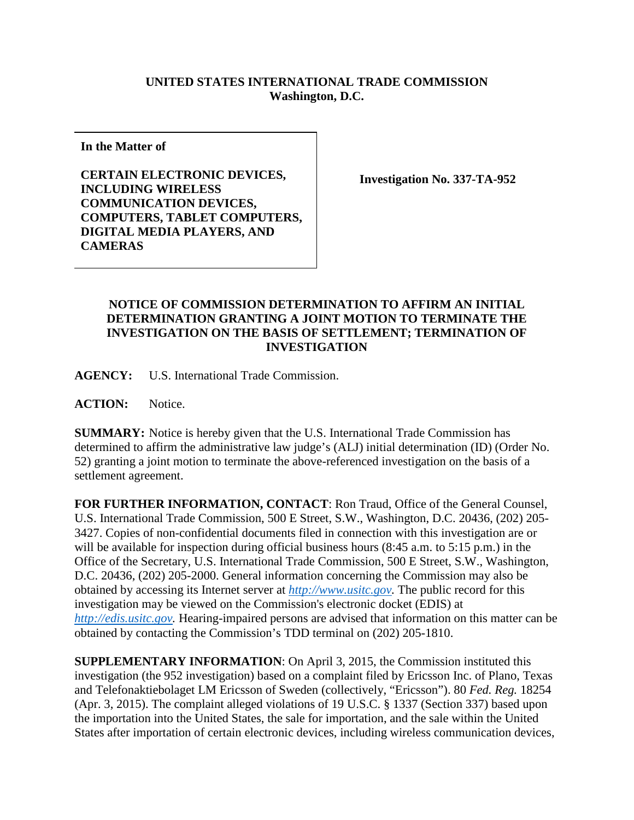## **UNITED STATES INTERNATIONAL TRADE COMMISSION Washington, D.C.**

**In the Matter of**

**CERTAIN ELECTRONIC DEVICES, INCLUDING WIRELESS COMMUNICATION DEVICES, COMPUTERS, TABLET COMPUTERS, DIGITAL MEDIA PLAYERS, AND CAMERAS**

**Investigation No. 337-TA-952**

## **NOTICE OF COMMISSION DETERMINATION TO AFFIRM AN INITIAL DETERMINATION GRANTING A JOINT MOTION TO TERMINATE THE INVESTIGATION ON THE BASIS OF SETTLEMENT; TERMINATION OF INVESTIGATION**

**AGENCY:** U.S. International Trade Commission.

**ACTION:** Notice.

**SUMMARY:** Notice is hereby given that the U.S. International Trade Commission has determined to affirm the administrative law judge's (ALJ) initial determination (ID) (Order No. 52) granting a joint motion to terminate the above-referenced investigation on the basis of a settlement agreement.

**FOR FURTHER INFORMATION, CONTACT**: Ron Traud, Office of the General Counsel, U.S. International Trade Commission, 500 E Street, S.W., Washington, D.C. 20436, (202) 205- 3427. Copies of non-confidential documents filed in connection with this investigation are or will be available for inspection during official business hours (8:45 a.m. to 5:15 p.m.) in the Office of the Secretary, U.S. International Trade Commission, 500 E Street, S.W., Washington, D.C. 20436, (202) 205-2000. General information concerning the Commission may also be obtained by accessing its Internet server at *[http://www.usitc.gov.](http://www.usitc.gov/)* The public record for this investigation may be viewed on the Commission's electronic docket (EDIS) at *[http://edis.usitc.gov.](http://edis.usitc.gov/)* Hearing-impaired persons are advised that information on this matter can be obtained by contacting the Commission's TDD terminal on (202) 205-1810.

**SUPPLEMENTARY INFORMATION**: On April 3, 2015, the Commission instituted this investigation (the 952 investigation) based on a complaint filed by Ericsson Inc. of Plano, Texas and Telefonaktiebolaget LM Ericsson of Sweden (collectively, "Ericsson"). 80 *Fed. Reg.* 18254 (Apr. 3, 2015). The complaint alleged violations of 19 U.S.C. § 1337 (Section 337) based upon the importation into the United States, the sale for importation, and the sale within the United States after importation of certain electronic devices, including wireless communication devices,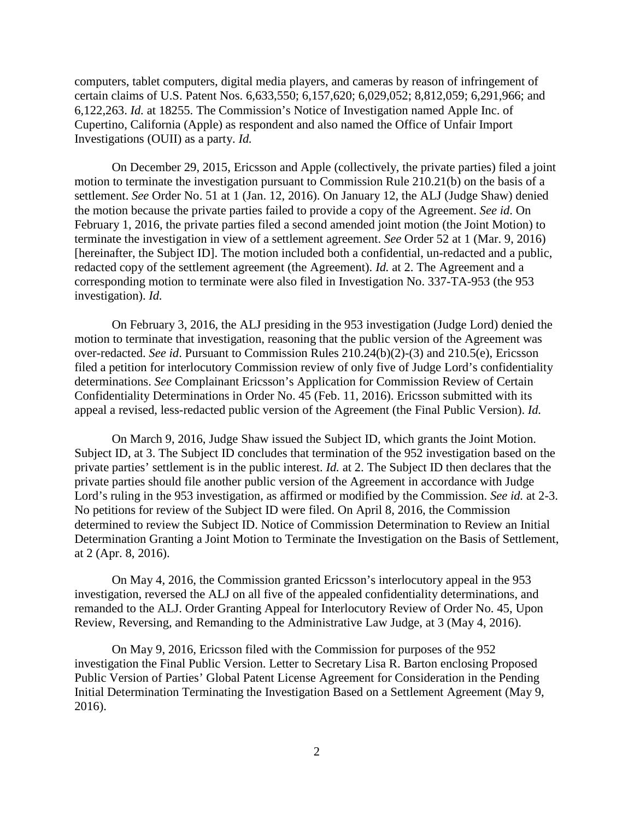computers, tablet computers, digital media players, and cameras by reason of infringement of certain claims of U.S. Patent Nos. 6,633,550; 6,157,620; 6,029,052; 8,812,059; 6,291,966; and 6,122,263. *Id.* at 18255. The Commission's Notice of Investigation named Apple Inc. of Cupertino, California (Apple) as respondent and also named the Office of Unfair Import Investigations (OUII) as a party. *Id.*

On December 29, 2015, Ericsson and Apple (collectively, the private parties) filed a joint motion to terminate the investigation pursuant to Commission Rule 210.21(b) on the basis of a settlement. *See* Order No. 51 at 1 (Jan. 12, 2016). On January 12, the ALJ (Judge Shaw) denied the motion because the private parties failed to provide a copy of the Agreement. *See id*. On February 1, 2016, the private parties filed a second amended joint motion (the Joint Motion) to terminate the investigation in view of a settlement agreement. *See* Order 52 at 1 (Mar. 9, 2016) [hereinafter, the Subject ID]. The motion included both a confidential, un-redacted and a public, redacted copy of the settlement agreement (the Agreement). *Id.* at 2. The Agreement and a corresponding motion to terminate were also filed in Investigation No. 337-TA-953 (the 953 investigation). *Id.*

On February 3, 2016, the ALJ presiding in the 953 investigation (Judge Lord) denied the motion to terminate that investigation, reasoning that the public version of the Agreement was over-redacted. *See id*. Pursuant to Commission Rules 210.24(b)(2)-(3) and 210.5(e), Ericsson filed a petition for interlocutory Commission review of only five of Judge Lord's confidentiality determinations. *See* Complainant Ericsson's Application for Commission Review of Certain Confidentiality Determinations in Order No. 45 (Feb. 11, 2016). Ericsson submitted with its appeal a revised, less-redacted public version of the Agreement (the Final Public Version). *Id.*

On March 9, 2016, Judge Shaw issued the Subject ID, which grants the Joint Motion. Subject ID, at 3. The Subject ID concludes that termination of the 952 investigation based on the private parties' settlement is in the public interest. *Id.* at 2. The Subject ID then declares that the private parties should file another public version of the Agreement in accordance with Judge Lord's ruling in the 953 investigation, as affirmed or modified by the Commission. *See id.* at 2-3. No petitions for review of the Subject ID were filed. On April 8, 2016, the Commission determined to review the Subject ID. Notice of Commission Determination to Review an Initial Determination Granting a Joint Motion to Terminate the Investigation on the Basis of Settlement, at 2 (Apr. 8, 2016).

On May 4, 2016, the Commission granted Ericsson's interlocutory appeal in the 953 investigation, reversed the ALJ on all five of the appealed confidentiality determinations, and remanded to the ALJ. Order Granting Appeal for Interlocutory Review of Order No. 45, Upon Review, Reversing, and Remanding to the Administrative Law Judge, at 3 (May 4, 2016).

On May 9, 2016, Ericsson filed with the Commission for purposes of the 952 investigation the Final Public Version. Letter to Secretary Lisa R. Barton enclosing Proposed Public Version of Parties' Global Patent License Agreement for Consideration in the Pending Initial Determination Terminating the Investigation Based on a Settlement Agreement (May 9, 2016).